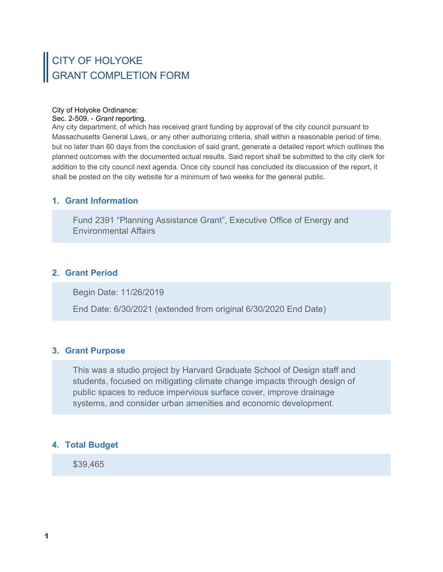# CITY OF HOLYOKE GRANT COMPLETION FORM

#### City of Holyoke Ordinance:

Sec. 2-509. - Grant reporting.

Any city department, of which has received grant funding by approval of the city council pursuant to Massachusetts General Laws, or any other authorizing criteria, shall within a reasonable period of time, but no later than 60 days from the conclusion of said grant, generate a detailed report which outlines the planned outcomes with the documented actual results. Said report shall be submitted to the city clerk for addition to the city council next agenda. Once city council has concluded its discussion of the report, it shall be posted on the city website for a minimum of two weeks for the general public.

# 1. Grant Information

Fund 2391 "Planning Assistance Grant", Executive Office of Energy and Environmental Affairs

# 2. Grant Period

Begin Date: 11/26/2019

End Date: 6/30/2021 (extended from original 6/30/2020 End Date)

#### 3. Grant Purpose

This was a studio project by Harvard Graduate School of Design staff and students, focused on mitigating climate change impacts through design of public spaces to reduce impervious surface cover, improve drainage systems, and consider urban amenities and economic development.

# 4. Total Budget

\$39,465